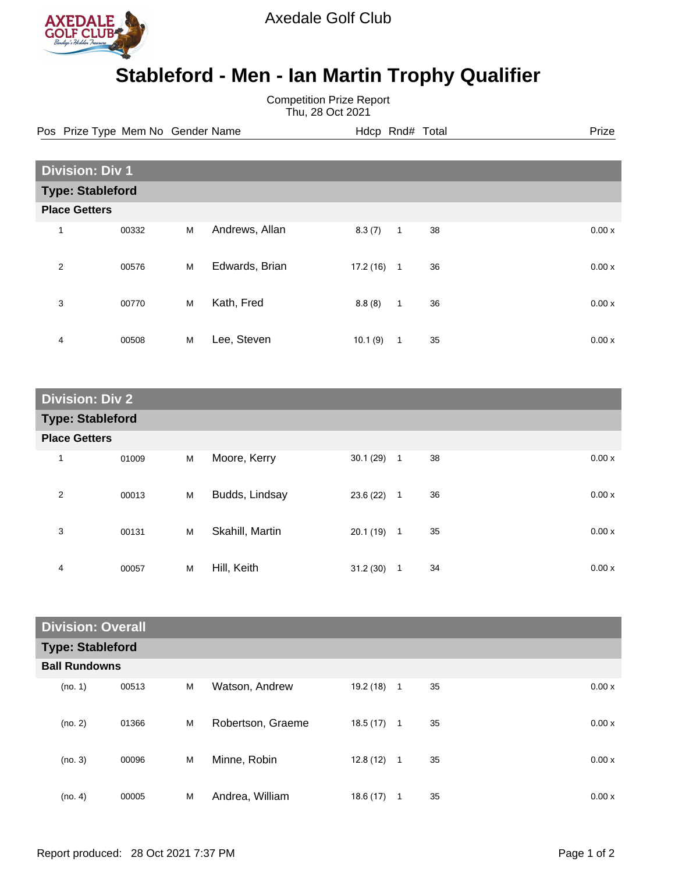

Axedale Golf Club

## **Stableford - Men - Ian Martin Trophy Qualifier**

Competition Prize Report Thu, 28 Oct 2021

Pos Prize Type Mem No Gender Name **Heath Hotel Hotel Rnd# Total** Prize

| <b>Division: Div 1</b>  |       |   |                |           |              |    |  |       |
|-------------------------|-------|---|----------------|-----------|--------------|----|--|-------|
| <b>Type: Stableford</b> |       |   |                |           |              |    |  |       |
| <b>Place Getters</b>    |       |   |                |           |              |    |  |       |
| 1                       | 00332 | М | Andrews, Allan | 8.3(7)    | $\mathbf{1}$ | 38 |  | 0.00x |
| $\overline{2}$          | 00576 | M | Edwards, Brian | 17.2 (16) | $\mathbf{1}$ | 36 |  | 0.00x |
| 3                       | 00770 | M | Kath, Fred     | 8.8(8)    | $\mathbf{1}$ | 36 |  | 0.00x |
| 4                       | 00508 | M | Lee, Steven    | 10.1(9)   | 1            | 35 |  | 0.00x |

| <b>Division: Div 2</b>  |       |   |                 |              |                |    |  |       |
|-------------------------|-------|---|-----------------|--------------|----------------|----|--|-------|
| <b>Type: Stableford</b> |       |   |                 |              |                |    |  |       |
| <b>Place Getters</b>    |       |   |                 |              |                |    |  |       |
| 1                       | 01009 | M | Moore, Kerry    | $30.1(29)$ 1 |                | 38 |  | 0.00x |
| 2                       | 00013 | M | Budds, Lindsay  | 23.6 (22)    | $\overline{1}$ | 36 |  | 0.00x |
| 3                       | 00131 | M | Skahill, Martin | $20.1(19)$ 1 |                | 35 |  | 0.00x |
| 4                       | 00057 | M | Hill, Keith     | 31.2(30)     | $\mathbf{1}$   | 34 |  | 0.00x |

| <b>Division: Overall</b> |       |   |                   |              |              |    |  |       |
|--------------------------|-------|---|-------------------|--------------|--------------|----|--|-------|
| <b>Type: Stableford</b>  |       |   |                   |              |              |    |  |       |
| <b>Ball Rundowns</b>     |       |   |                   |              |              |    |  |       |
| (no. 1)                  | 00513 | M | Watson, Andrew    | 19.2 (18)    | $\mathbf{1}$ | 35 |  | 0.00x |
| (no. 2)                  | 01366 | M | Robertson, Graeme | 18.5 (17)    | $\mathbf{1}$ | 35 |  | 0.00x |
| (no. 3)                  | 00096 | M | Minne, Robin      | $12.8(12)$ 1 |              | 35 |  | 0.00x |
| (no. 4)                  | 00005 | M | Andrea, William   | 18.6(17)     | 1            | 35 |  | 0.00x |